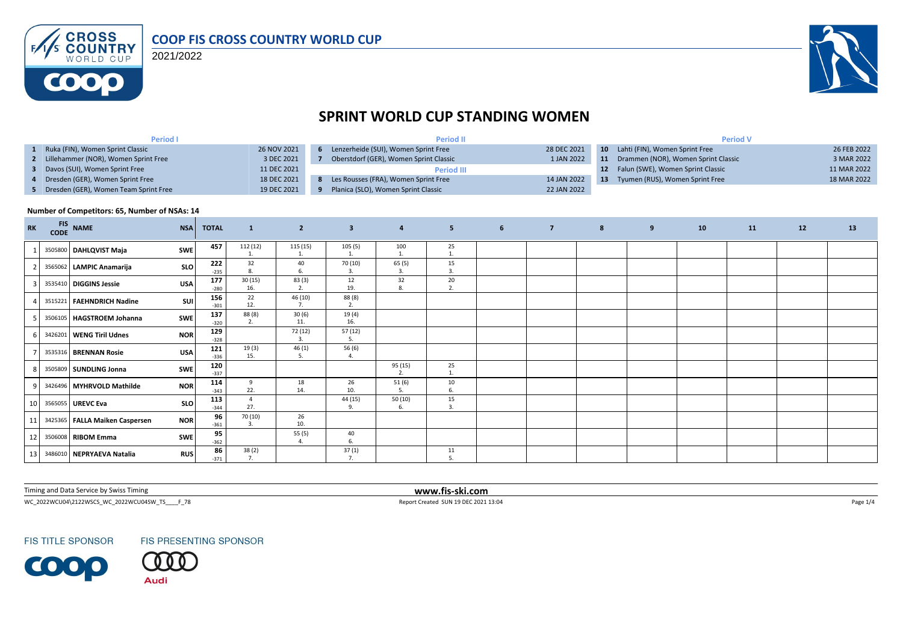

2021/2022



# **SPRINT WORLD CUP STANDING WOMEN**

| <b>Period I</b>                         |             | <b>Period II</b>                       |             | <b>Period V</b> |                                        |             |  |  |
|-----------------------------------------|-------------|----------------------------------------|-------------|-----------------|----------------------------------------|-------------|--|--|
| 1 Ruka (FIN), Women Sprint Classic      | 26 NOV 2021 | Lenzerheide (SUI), Women Sprint Free   | 28 DEC 2021 |                 | 10 Lahti (FIN), Women Sprint Free      | 26 FEB 2022 |  |  |
| 2 Lillehammer (NOR), Women Sprint Free  | 3 DEC 2021  | Oberstdorf (GER), Women Sprint Classic | 1 JAN 2022  |                 | 11 Drammen (NOR), Women Sprint Classic | 3 MAR 2022  |  |  |
| 3 Davos (SUI), Women Sprint Free        | 11 DEC 2021 | <b>Period III</b>                      |             |                 | 12 Falun (SWE), Women Sprint Classic   | 11 MAR 2022 |  |  |
| 4 Dresden (GER), Women Sprint Free      | 18 DEC 2021 | Les Rousses (FRA), Women Sprint Free   | 14 JAN 2022 | -13             | Tyumen (RUS), Women Sprint Free        | 18 MAR 2022 |  |  |
| 5 Dresden (GER), Women Team Sprint Free | 19 DEC 2021 | Planica (SLO), Women Sprint Classic    | 22 JAN 2022 |                 |                                        |             |  |  |

#### **Number of Competitors: 65, Number of NSAs: 14**

| <b>RK</b>       | <b>FIS</b> | CODE NAME                      | <b>NSA</b> | <b>TOTAL</b>  | $\mathbf{1}$                | $\overline{2}$ | $\overline{\mathbf{3}}$ | $\overline{4}$ | 5 <sup>2</sup> | $6^{\circ}$ | $\overline{7}$ | $8\phantom{1}$ | 9 | 10 | 11 | 12 | 13 |
|-----------------|------------|--------------------------------|------------|---------------|-----------------------------|----------------|-------------------------|----------------|----------------|-------------|----------------|----------------|---|----|----|----|----|
|                 |            | 3505800 DAHLQVIST Maja         | <b>SWE</b> | 457           | 112 (12)                    | 115 (15)       | 105(5)                  | 100            | 25             |             |                |                |   |    |    |    |    |
|                 |            | 3565062 LAMPIC Anamarija       | <b>SLO</b> | 222<br>$-235$ | 32                          | 40<br>6.       | 70 (10)<br>3.           | 65(5)<br>3.    | 15<br>3.       |             |                |                |   |    |    |    |    |
|                 |            | 3535410 DIGGINS Jessie         | <b>USA</b> | 177<br>$-280$ | 30(15)<br>16.               | 83(3)<br>2.    | 12<br>19.               | 32<br>8.       | 20<br>2.       |             |                |                |   |    |    |    |    |
|                 |            | 3515221 FAEHNDRICH Nadine      | <b>SUI</b> | 156<br>$-301$ | 22<br>12.                   | 46 (10)<br>7.  | 88 (8)<br>2.            |                |                |             |                |                |   |    |    |    |    |
|                 |            | 3506105   HAGSTROEM Johanna    | <b>SWE</b> | 137<br>$-320$ | 88 (8)<br>2.                | 30(6)<br>11.   | 19(4)<br>16.            |                |                |             |                |                |   |    |    |    |    |
|                 |            | 3426201 WENG Tiril Udnes       | <b>NOR</b> | 129<br>$-328$ |                             | 72 (12)<br>3.  | 57 (12)<br>5.           |                |                |             |                |                |   |    |    |    |    |
|                 |            | 3535316 BRENNAN Rosie          | <b>USA</b> | 121<br>$-336$ | 19(3)<br>15.                | 46(1)<br>5.    | 56 (6)<br>4.            |                |                |             |                |                |   |    |    |    |    |
|                 |            | 3505809 SUNDLING Jonna         | <b>SWE</b> | 120<br>$-337$ |                             |                |                         | 95 (15)        | 25             |             |                |                |   |    |    |    |    |
|                 |            | 3426496 MYHRVOLD Mathilde      | <b>NOR</b> | 114<br>$-343$ | 9<br>22.                    | 18<br>14.      | 26<br>10.               | 51(6)<br>5.    | 10<br>6.       |             |                |                |   |    |    |    |    |
| 10 <sup>1</sup> |            | 3565055 UREVC Eva              | <b>SLO</b> | 113<br>$-344$ | $\overline{4}$<br>27.       |                | 44 (15)<br>9.           | 50(10)         | 15<br>3.       |             |                |                |   |    |    |    |    |
| 11              |            | 3425365 FALLA Maiken Caspersen | <b>NOR</b> | 96<br>$-361$  | 70 (10)<br>$\overline{3}$ . | 26<br>10.      |                         |                |                |             |                |                |   |    |    |    |    |
| 12              |            | 3506008 RIBOM Emma             | <b>SWE</b> | 95<br>$-362$  |                             | 55(5)<br>4.    | 40                      |                |                |             |                |                |   |    |    |    |    |
| 13 <sup>1</sup> |            | 3486010 NEPRYAEVA Natalia      | <b>RUS</b> | 86<br>$-371$  | 38(2)<br>7.                 |                | 37(1)<br>7.             |                | 11<br>5.       |             |                |                |   |    |    |    |    |

Timing and Data Service by Swiss Timing **www.fis-ski.com**

 $WC_2022WCU04\text{~}2122WSCS_2_WC_2022WCU048W_TS_5_F78 \newline \hspace*{2.5cm} \textbf{Page 1/4} \newline$ 

**FIS TITLE SPONSOR** 



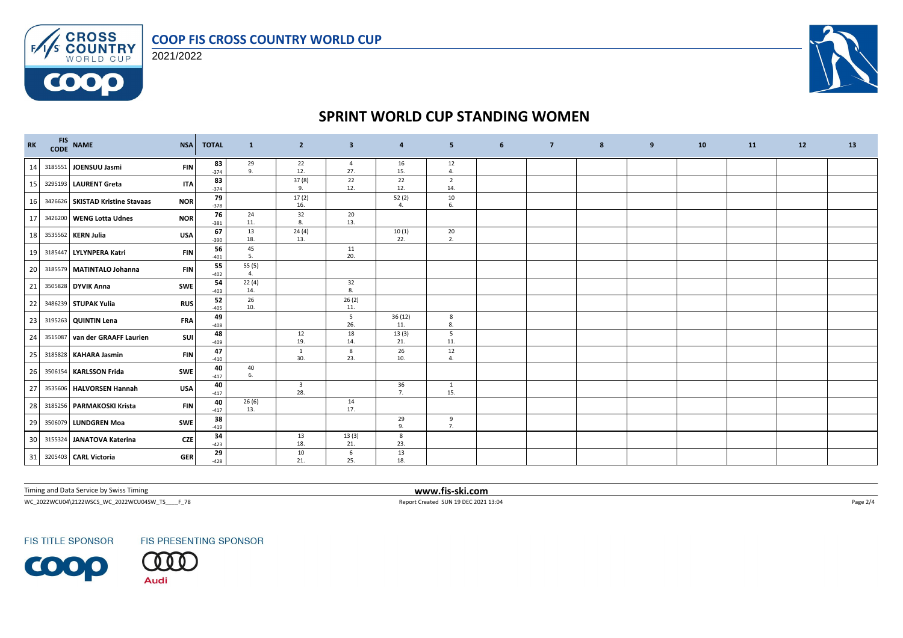#### **COOP FIS CROSS COUNTRY WORLD CUP**



 $F/1/s$ 

**COOO** 



## **SPRINT WORLD CUP STANDING WOMEN**

| $\mathbf{R}\mathbf{K}$ | FIS NAME<br>CODE NAME            | <b>NSA</b> | <b>TOTAL</b> | $\mathbf{1}$     | $\overline{2}$                 | $\overline{\mathbf{3}}$ | 4             | 5 <sub>5</sub>        | 6 | $\overline{7}$ | 8 | 9 | 10 | <b>11</b> | 12 | 13 |
|------------------------|----------------------------------|------------|--------------|------------------|--------------------------------|-------------------------|---------------|-----------------------|---|----------------|---|---|----|-----------|----|----|
| 14                     | 3185551 JOENSUU Jasmi            | <b>FIN</b> | 83<br>$-374$ | $\frac{29}{9}$ . | 22<br>12.                      | 4<br>27.                | 16<br>15.     | 12<br>4.              |   |                |   |   |    |           |    |    |
| 15                     | 3295193 LAURENT Greta            | <b>ITA</b> | 83<br>$-374$ |                  | 37(8)<br>9.                    | 22<br>12.               | 22<br>12.     | $\overline{2}$<br>14. |   |                |   |   |    |           |    |    |
| 16                     | 3426626 SKISTAD Kristine Stavaas | <b>NOR</b> | 79<br>$-378$ |                  | 17(2)<br>16.                   |                         | 52(2)<br>4.   | 10<br>6.              |   |                |   |   |    |           |    |    |
| 17                     | 3426200 WENG Lotta Udnes         | <b>NOR</b> | 76<br>$-381$ | 24<br>11.        | 32<br>8.                       | 20<br>13.               |               |                       |   |                |   |   |    |           |    |    |
| 18                     | 3535562 KERN Julia               | <b>USA</b> | 67<br>$-390$ | 13<br>18.        | 24(4)<br>13.                   |                         | 10(1)<br>22.  | 20<br>2.              |   |                |   |   |    |           |    |    |
| 19                     | 3185447 LYLYNPERA Katri          | <b>FIN</b> | 56<br>$-401$ | 45<br>5.         |                                | 11<br>20.               |               |                       |   |                |   |   |    |           |    |    |
| 20                     | 3185579 MATINTALO Johanna        | <b>FIN</b> | 55<br>$-402$ | 55 (5)<br>4.     |                                |                         |               |                       |   |                |   |   |    |           |    |    |
| 21                     | 3505828 DYVIK Anna               | <b>SWE</b> | 54<br>$-403$ | 22(4)<br>14.     |                                | 32<br>8.                |               |                       |   |                |   |   |    |           |    |    |
| 22                     | 3486239 STUPAK Yulia             | <b>RUS</b> | 52<br>$-405$ | 26<br>10.        |                                | 26(2)<br>11.            |               |                       |   |                |   |   |    |           |    |    |
| 23                     | 3195263 QUINTIN Lena             | <b>FRA</b> | 49<br>$-408$ |                  |                                | 5<br>26.                | 36(12)<br>11. | 8<br>8.               |   |                |   |   |    |           |    |    |
| 24                     | 3515087 van der GRAAFF Laurien   | <b>SUI</b> | 48<br>$-409$ |                  | 12<br>19.                      | 18<br>14.               | 13(3)<br>21.  | 5<br>11.              |   |                |   |   |    |           |    |    |
| 25                     | 3185828 KAHARA Jasmin            | <b>FIN</b> | 47<br>$-410$ |                  | $\mathbf{1}$<br>30.            | 8<br>23.                | 26<br>10.     | 12<br>4.              |   |                |   |   |    |           |    |    |
| 26                     | 3506154 KARLSSON Frida           | SWE        | 40<br>$-417$ | 40<br>6.         |                                |                         |               |                       |   |                |   |   |    |           |    |    |
| 27                     | 3535606 HALVORSEN Hannah         | <b>USA</b> | 40<br>$-417$ |                  | $\overline{\mathbf{3}}$<br>28. |                         | 36<br>7.      | $\mathbf{1}$<br>15.   |   |                |   |   |    |           |    |    |
| 28                     | 3185256 PARMAKOSKI Krista        | <b>FIN</b> | 40<br>$-417$ | 26(6)<br>13.     |                                | 14<br>17.               |               |                       |   |                |   |   |    |           |    |    |
| 29                     | 3506079 LUNDGREN Moa             | SWE        | 38<br>$-419$ |                  |                                |                         | 29<br>9.      | 9<br>7.               |   |                |   |   |    |           |    |    |
| 30                     | 3155324 JANATOVA Katerina        | <b>CZE</b> | 34<br>$-423$ |                  | 13<br>18.                      | 13(3)<br>21.            | 8<br>23.      |                       |   |                |   |   |    |           |    |    |
| 31                     | 3205403 CARL Victoria            | <b>GER</b> | 29<br>$-428$ |                  | 10<br>21.                      | 6<br>25.                | 13<br>18.     |                       |   |                |   |   |    |           |    |    |

Timing and Data Service by Swiss Timing **www.fis-ski.com**

 $WC_2022WCU04\text{~}2122WSCS_2_WC_2022WCU048W_TS_5_F78 \newline \hspace*{2.5cm} \textbf{Page 2/4} \newline \hspace*{2.5cm} \textbf{Report Create 5UN 19 DEC 2021 13:04} \newline$ 

**FIS TITLE SPONSOR** 

**FIS PRESENTING SPONSOR** 

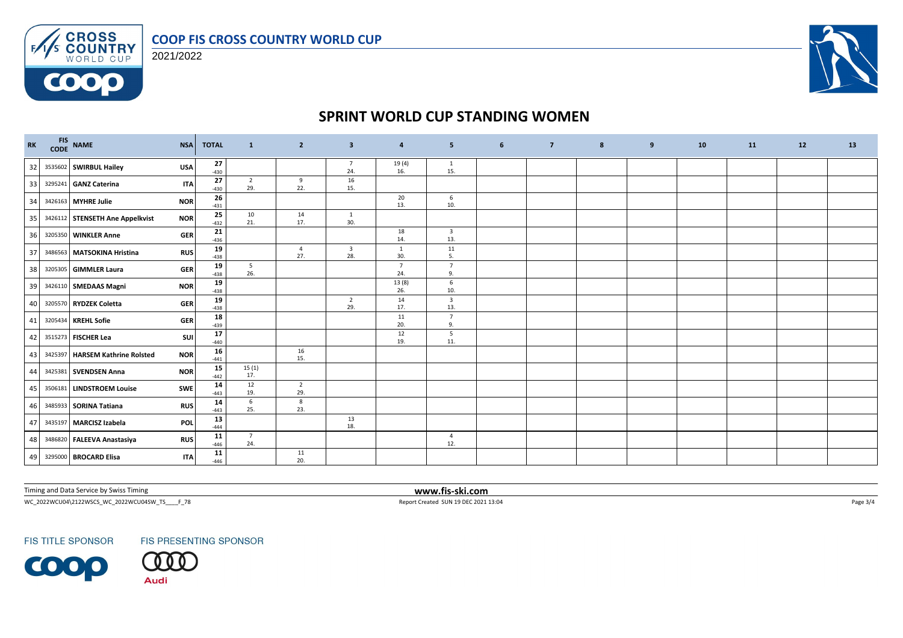

**CROSS**<br>**COUNTRY**<br>WORLD CUP 2021/2022

 $F/1/s$ 

**COOO** 



# **SPRINT WORLD CUP STANDING WOMEN**

| $\mathbf{R}\mathbf{K}$ | FIS NAME<br>CODE NAME           | <b>NSA</b> | <b>TOTAL</b> | $\mathbf{1}$           | $\overline{2}$        | $\overline{\mathbf{3}}$        | 4                     | 5                              | 6 | $\overline{7}$ | 8 | 9 | 10 | 11 | 12 | 13 |
|------------------------|---------------------------------|------------|--------------|------------------------|-----------------------|--------------------------------|-----------------------|--------------------------------|---|----------------|---|---|----|----|----|----|
| 32                     | 3535602 SWIRBUL Hailey          | <b>USA</b> | 27<br>$-430$ |                        |                       | $\overline{7}$<br>24.          | 19(4)<br>16.          | 1<br>15.                       |   |                |   |   |    |    |    |    |
| 33                     | 3295241 GANZ Caterina           | <b>ITA</b> | 27<br>$-430$ | $\overline{2}$<br>29.  | 9<br>22.              | 16<br>15.                      |                       |                                |   |                |   |   |    |    |    |    |
| 34                     | 3426163 MYHRE Julie             | <b>NOR</b> | 26<br>$-431$ |                        |                       |                                | 20<br>13.             | 6<br>10.                       |   |                |   |   |    |    |    |    |
| 35                     | 3426112 STENSETH Ane Appelkvist | <b>NOR</b> | 25<br>$-432$ | 10<br>21.              | 14<br>17.             | $\mathbf{1}$<br>30.            |                       |                                |   |                |   |   |    |    |    |    |
| 36                     | 3205350 WINKLER Anne            | <b>GER</b> | 21<br>$-436$ |                        |                       |                                | 18<br>14.             | $\overline{\mathbf{3}}$<br>13. |   |                |   |   |    |    |    |    |
| 37                     | 3486563 MATSOKINA Hristina      | <b>RUS</b> | 19<br>$-438$ |                        | $\overline{4}$<br>27. | $\overline{\mathbf{3}}$<br>28. | 1<br>30.              | 11<br>5.                       |   |                |   |   |    |    |    |    |
| 38                     | 3205305 GIMMLER Laura           | <b>GER</b> | 19<br>$-438$ | $5\overline{)}$<br>26. |                       |                                | $\overline{7}$<br>24. | $\overline{7}$<br>9.           |   |                |   |   |    |    |    |    |
| 39                     | 3426110 SMEDAAS Magni           | <b>NOR</b> | 19<br>$-438$ |                        |                       |                                | 13(8)<br>26.          | 6<br>10.                       |   |                |   |   |    |    |    |    |
| 40                     | 3205570 RYDZEK Coletta          | <b>GER</b> | 19<br>$-438$ |                        |                       | $\overline{2}$<br>29.          | 14<br>17.             | $\overline{\mathbf{3}}$<br>13. |   |                |   |   |    |    |    |    |
| 41                     | 3205434 KREHL Sofie             | <b>GER</b> | 18<br>$-439$ |                        |                       |                                | 11<br>20.             | $7\overline{ }$<br>9.          |   |                |   |   |    |    |    |    |
| 42                     | 3515273 FISCHER Lea             | <b>SUI</b> | 17<br>$-440$ |                        |                       |                                | 12<br>19.             | 5<br>11.                       |   |                |   |   |    |    |    |    |
| 43                     | 3425397 HARSEM Kathrine Rolsted | <b>NOR</b> | 16<br>$-441$ |                        | 16<br>15.             |                                |                       |                                |   |                |   |   |    |    |    |    |
| 44                     | 3425381 SVENDSEN Anna           | <b>NOR</b> | 15<br>$-442$ | 15(1)<br>17.           |                       |                                |                       |                                |   |                |   |   |    |    |    |    |
| 45                     | 3506181 LINDSTROEM Louise       | <b>SWE</b> | 14<br>$-443$ | 12<br>19.              | $\overline{2}$<br>29. |                                |                       |                                |   |                |   |   |    |    |    |    |
| 46                     | 3485933 SORINA Tatiana          | <b>RUS</b> | 14<br>$-443$ | 6<br>25.               | 8<br>23.              |                                |                       |                                |   |                |   |   |    |    |    |    |
| 47                     | 3435197 MARCISZ Izabela         | <b>POL</b> | 13<br>$-444$ |                        |                       | 13<br>18.                      |                       |                                |   |                |   |   |    |    |    |    |
| 48                     | 3486820 FALEEVA Anastasiya      | <b>RUS</b> | 11<br>$-446$ | $7\overline{ }$<br>24. |                       |                                |                       | $\overline{4}$<br>12.          |   |                |   |   |    |    |    |    |
| 49                     | 3295000 BROCARD Elisa           | <b>ITA</b> | 11<br>$-446$ |                        | 11<br>20.             |                                |                       |                                |   |                |   |   |    |    |    |    |

Timing and Data Service by Swiss Timing **www.fis-ski.com**

 $WC_2022WCU04\text{~}2122WSCS_2_WC_2022WCU048W_TS_5_F78 \newline \hspace*{2.5cm} \textbf{Page 3/4} \newline$ 

**FIS TITLE SPONSOR** 

**FIS PRESENTING SPONSOR**